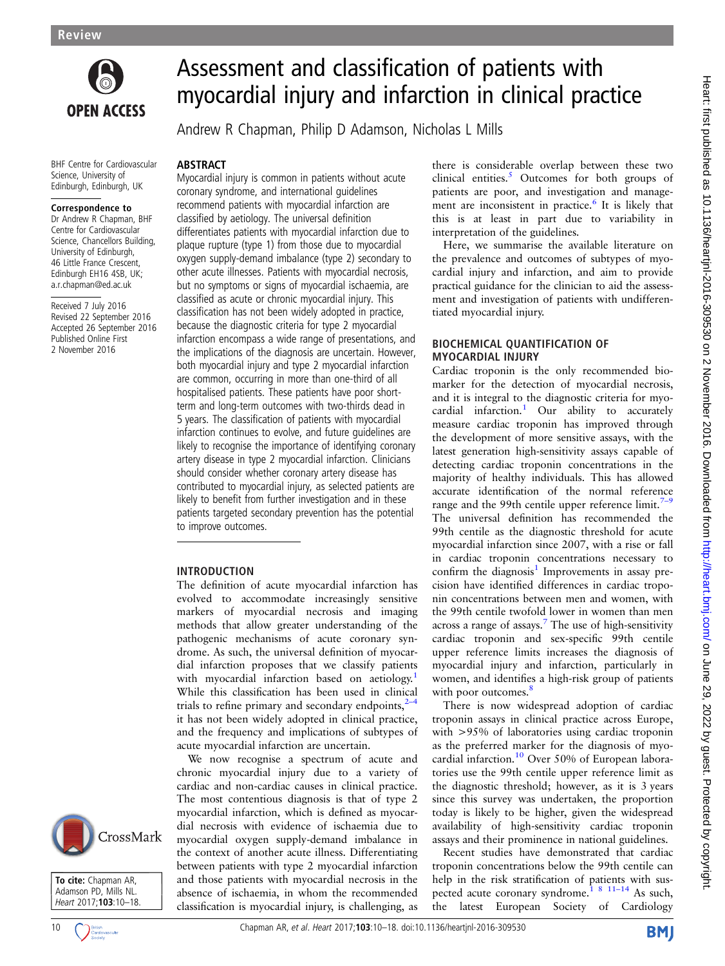

BHF Centre for Cardiovascular Science, University of Edinburgh, Edinburgh, UK

#### Correspondence to

Dr Andrew R Chapman, BHF Centre for Cardiovascular Science, Chancellors Building, University of Edinburgh, 46 Little France Crescent, Edinburgh EH16 4SB, UK; a.r.chapman@ed.ac.uk

Received 7 July 2016 Revised 22 September 2016 Accepted 26 September 2016 Published Online First 2 November 2016

# Assessment and classification of patients with myocardial injury and infarction in clinical practice

Andrew R Chapman, Philip D Adamson, Nicholas L Mills

### ABSTRACT

Myocardial injury is common in patients without acute coronary syndrome, and international guidelines recommend patients with myocardial infarction are classified by aetiology. The universal definition differentiates patients with myocardial infarction due to plaque rupture (type 1) from those due to myocardial oxygen supply-demand imbalance (type 2) secondary to other acute illnesses. Patients with myocardial necrosis, but no symptoms or signs of myocardial ischaemia, are classified as acute or chronic myocardial injury. This classification has not been widely adopted in practice, because the diagnostic criteria for type 2 myocardial infarction encompass a wide range of presentations, and the implications of the diagnosis are uncertain. However, both myocardial injury and type 2 myocardial infarction are common, occurring in more than one-third of all hospitalised patients. These patients have poor shortterm and long-term outcomes with two-thirds dead in 5 years. The classification of patients with myocardial infarction continues to evolve, and future guidelines are likely to recognise the importance of identifying coronary artery disease in type 2 myocardial infarction. Clinicians should consider whether coronary artery disease has contributed to myocardial injury, as selected patients are likely to benefit from further investigation and in these patients targeted secondary prevention has the potential to improve outcomes.

#### INTRODUCTION

The definition of acute myocardial infarction has evolved to accommodate increasingly sensitive markers of myocardial necrosis and imaging methods that allow greater understanding of the pathogenic mechanisms of acute coronary syndrome. As such, the universal definition of myocardial infarction proposes that we classify patients with myocardial infarction based on aetiology.<sup>[1](#page-7-0)</sup> While this classification has been used in clinical trials to refine primary and secondary endpoints, $2$ – it has not been widely adopted in clinical practice, and the frequency and implications of subtypes of acute myocardial infarction are uncertain.

We now recognise a spectrum of acute and chronic myocardial injury due to a variety of cardiac and non-cardiac causes in clinical practice. The most contentious diagnosis is that of type 2 myocardial infarction, which is defined as myocardial necrosis with evidence of ischaemia due to myocardial oxygen supply-demand imbalance in the context of another acute illness. Differentiating between patients with type 2 myocardial infarction and those patients with myocardial necrosis in the absence of ischaemia, in whom the recommended classification is myocardial injury, is challenging, as

there is considerable overlap between these two clinical entities.<sup>[5](#page-7-0)</sup> Outcomes for both groups of patients are poor, and investigation and manage-ment are inconsistent in practice.<sup>[6](#page-7-0)</sup> It is likely that this is at least in part due to variability in interpretation of the guidelines.

Here, we summarise the available literature on the prevalence and outcomes of subtypes of myocardial injury and infarction, and aim to provide practical guidance for the clinician to aid the assessment and investigation of patients with undifferentiated myocardial injury.

### BIOCHEMICAL QUANTIFICATION OF MYOCARDIAL INJURY

Cardiac troponin is the only recommended biomarker for the detection of myocardial necrosis, and it is integral to the diagnostic criteria for myocardial infarction.[1](#page-7-0) Our ability to accurately measure cardiac troponin has improved through the development of more sensitive assays, with the latest generation high-sensitivity assays capable of detecting cardiac troponin concentrations in the majority of healthy individuals. This has allowed accurate identification of the normal reference range and the 99th centile upper reference limit.<sup>[7](#page-7-0)-1</sup> The universal definition has recommended the 99th centile as the diagnostic threshold for acute myocardial infarction since 2007, with a rise or fall in cardiac troponin concentrations necessary to confirm the diagnosis<sup>[1](#page-7-0)</sup> Improvements in assay precision have identified differences in cardiac troponin concentrations between men and women, with the 99th centile twofold lower in women than men across a range of assays.<sup>[7](#page-7-0)</sup> The use of high-sensitivity cardiac troponin and sex-specific 99th centile upper reference limits increases the diagnosis of myocardial injury and infarction, particularly in women, and identifies a high-risk group of patients with poor outcomes.<sup>[8](#page-7-0)</sup>

There is now widespread adoption of cardiac troponin assays in clinical practice across Europe, with >95% of laboratories using cardiac troponin as the preferred marker for the diagnosis of myo-cardial infarction.<sup>[10](#page-7-0)</sup> Over 50% of European laboratories use the 99th centile upper reference limit as the diagnostic threshold; however, as it is 3 years since this survey was undertaken, the proportion today is likely to be higher, given the widespread availability of high-sensitivity cardiac troponin assays and their prominence in national guidelines.

Recent studies have demonstrated that cardiac troponin concentrations below the 99th centile can help in the risk stratification of patients with suspected acute coronary syndrome. $^{18}$  11-14 As such, the latest European Society of Cardiology



To cite: Chapman AR, Adamson PD, Mills NL. Heart 2017;103:10-18.

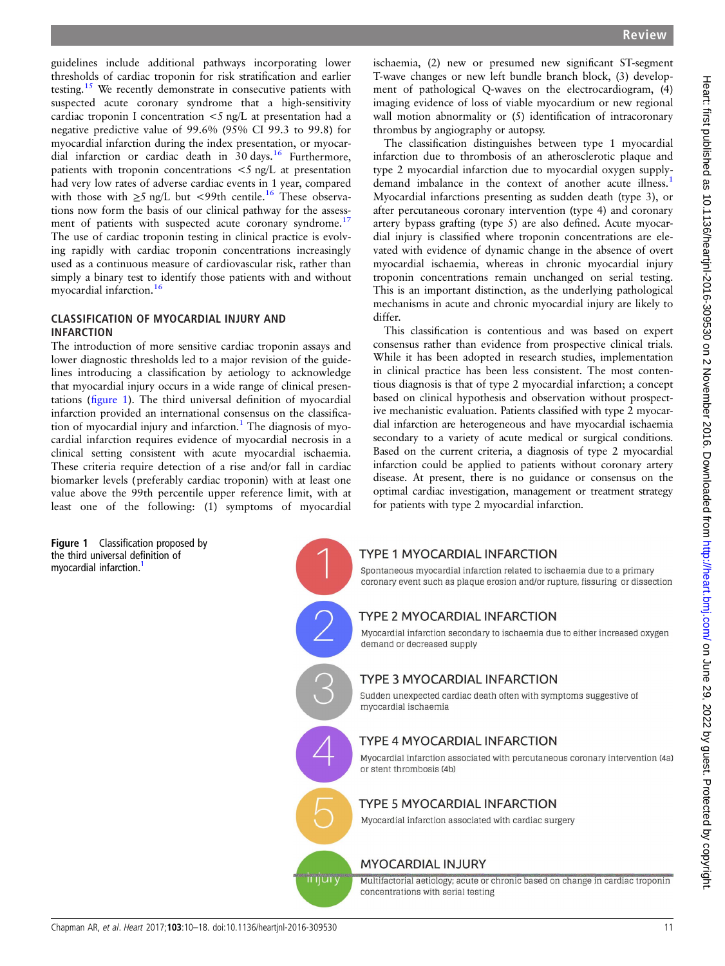guidelines include additional pathways incorporating lower thresholds of cardiac troponin for risk stratification and earlier testing.[15](#page-7-0) We recently demonstrate in consecutive patients with suspected acute coronary syndrome that a high-sensitivity cardiac troponin I concentration <5 ng/L at presentation had a negative predictive value of 99.6% (95% CI 99.3 to 99.8) for myocardial infarction during the index presentation, or myocar-dial infarction or cardiac death in 30 days.<sup>[16](#page-7-0)</sup> Furthermore, patients with troponin concentrations <5 ng/L at presentation had very low rates of adverse cardiac events in 1 year, compared with those with  $\geq$ 5 ng/L but <99th centile.<sup>[16](#page-7-0)</sup> These observations now form the basis of our clinical pathway for the assessment of patients with suspected acute coronary syndrome.<sup>17</sup> The use of cardiac troponin testing in clinical practice is evolving rapidly with cardiac troponin concentrations increasingly used as a continuous measure of cardiovascular risk, rather than simply a binary test to identify those patients with and without myocardial infarction.<sup>1</sup>

### CLASSIFICATION OF MYOCARDIAL INJURY AND INFARCTION

The introduction of more sensitive cardiac troponin assays and lower diagnostic thresholds led to a major revision of the guidelines introducing a classification by aetiology to acknowledge that myocardial injury occurs in a wide range of clinical presentations (figure 1). The third universal definition of myocardial infarction provided an international consensus on the classifica-tion of myocardial injury and infarction.<sup>[1](#page-7-0)</sup> The diagnosis of myocardial infarction requires evidence of myocardial necrosis in a clinical setting consistent with acute myocardial ischaemia. These criteria require detection of a rise and/or fall in cardiac biomarker levels (preferably cardiac troponin) with at least one value above the 99th percentile upper reference limit, with at least one of the following: (1) symptoms of myocardial

Figure 1 Classification proposed by the third universal definition of myocardial infarction.<sup>[1](#page-7-0)</sup>

ischaemia, (2) new or presumed new significant ST-segment T-wave changes or new left bundle branch block, (3) development of pathological Q-waves on the electrocardiogram, (4) imaging evidence of loss of viable myocardium or new regional wall motion abnormality or  $(5)$  identification of intracoronary thrombus by angiography or autopsy.

The classification distinguishes between type 1 myocardial infarction due to thrombosis of an atherosclerotic plaque and type 2 myocardial infarction due to myocardial oxygen supply-demand imbalance in the context of another acute illness.<sup>[1](#page-7-0)</sup> Myocardial infarctions presenting as sudden death (type 3), or after percutaneous coronary intervention (type 4) and coronary artery bypass grafting (type 5) are also defined. Acute myocardial injury is classified where troponin concentrations are elevated with evidence of dynamic change in the absence of overt myocardial ischaemia, whereas in chronic myocardial injury troponin concentrations remain unchanged on serial testing. This is an important distinction, as the underlying pathological mechanisms in acute and chronic myocardial injury are likely to differ.

This classification is contentious and was based on expert consensus rather than evidence from prospective clinical trials. While it has been adopted in research studies, implementation in clinical practice has been less consistent. The most contentious diagnosis is that of type 2 myocardial infarction; a concept based on clinical hypothesis and observation without prospective mechanistic evaluation. Patients classified with type 2 myocardial infarction are heterogeneous and have myocardial ischaemia secondary to a variety of acute medical or surgical conditions. Based on the current criteria, a diagnosis of type 2 myocardial infarction could be applied to patients without coronary artery disease. At present, there is no guidance or consensus on the optimal cardiac investigation, management or treatment strategy for patients with type 2 myocardial infarction.

### **TYPE 1 MYOCARDIAL INFARCTION**

Spontaneous myocardial infarction related to ischaemia due to a primary coronary event such as plaque erosion and/or rupture, fissuring or dissection

# TYPE 2 MYOCARDIAL INFARCTION

Myocardial infarction secondary to ischaemia due to either increased oxygen demand or decreased supply

# **TYPE 3 MYOCARDIAL INFARCTION**

Sudden unexpected cardiac death often with symptoms suggestive of myocardial ischaemia

# TYPE 4 MYOCARDIAL INFARCTION

Myocardial infarction associated with percutaneous coronary intervention (4a) or stent thrombosis (4b)

# **TYPE 5 MYOCARDIAL INFARCTION**

Myocardial infarction associated with cardiac surgery

### **MYOCARDIAL INJURY**

ii ijul y

Multifactorial aetiology; acute or chronic based on change in cardiac troponin concentrations with serial testing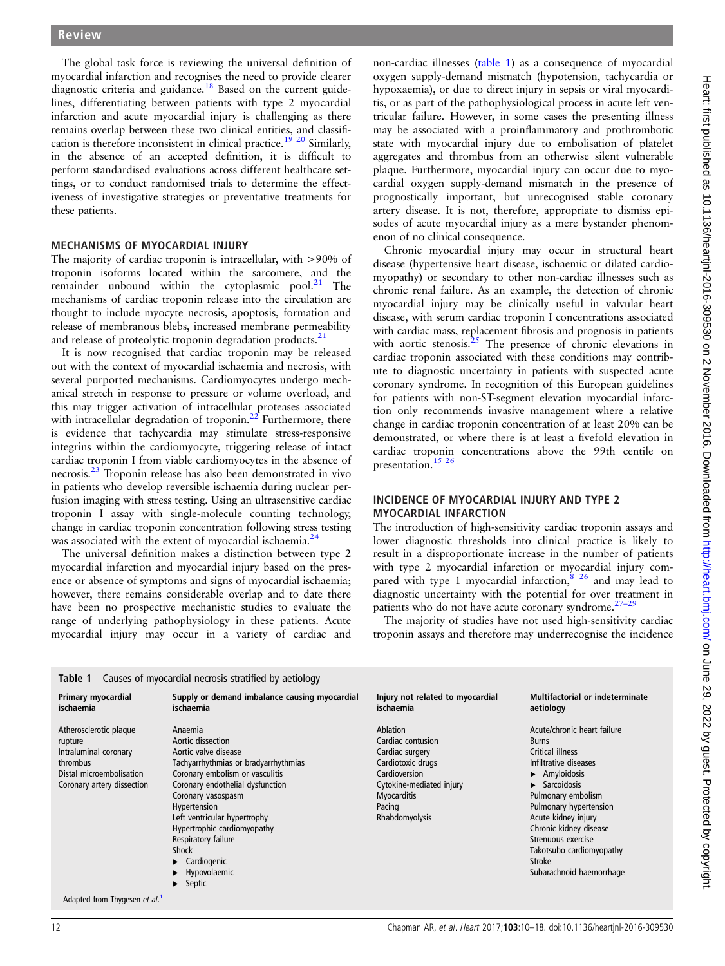The global task force is reviewing the universal definition of myocardial infarction and recognises the need to provide clearer diagnostic criteria and guidance.<sup>18</sup> Based on the current guidelines, differentiating between patients with type 2 myocardial infarction and acute myocardial injury is challenging as there remains overlap between these two clinical entities, and classifi-cation is therefore inconsistent in clinical practice.<sup>[19 20](#page-8-0)</sup> Similarly, in the absence of an accepted definition, it is difficult to perform standardised evaluations across different healthcare settings, or to conduct randomised trials to determine the effectiveness of investigative strategies or preventative treatments for these patients.

### MECHANISMS OF MYOCARDIAL INJURY

The majority of cardiac troponin is intracellular, with >90% of troponin isoforms located within the sarcomere, and the remainder unbound within the cytoplasmic pool. $21$  The mechanisms of cardiac troponin release into the circulation are thought to include myocyte necrosis, apoptosis, formation and release of membranous blebs, increased membrane permeability and release of proteolytic troponin degradation products.<sup>21</sup>

It is now recognised that cardiac troponin may be released out with the context of myocardial ischaemia and necrosis, with several purported mechanisms. Cardiomyocytes undergo mechanical stretch in response to pressure or volume overload, and this may trigger activation of intracellular proteases associated with intracellular degradation of troponin.<sup>[22](#page-8-0)</sup> Furthermore, there is evidence that tachycardia may stimulate stress-responsive integrins within the cardiomyocyte, triggering release of intact cardiac troponin I from viable cardiomyocytes in the absence of necrosis.<sup>[23](#page-8-0)</sup> Troponin release has also been demonstrated in vivo in patients who develop reversible ischaemia during nuclear perfusion imaging with stress testing. Using an ultrasensitive cardiac troponin I assay with single-molecule counting technology, change in cardiac troponin concentration following stress testing was associated with the extent of myocardial ischaemia.<sup>2</sup>

The universal definition makes a distinction between type 2 myocardial infarction and myocardial injury based on the presence or absence of symptoms and signs of myocardial ischaemia; however, there remains considerable overlap and to date there have been no prospective mechanistic studies to evaluate the range of underlying pathophysiology in these patients. Acute myocardial injury may occur in a variety of cardiac and

non-cardiac illnesses (table 1) as a consequence of myocardial oxygen supply-demand mismatch (hypotension, tachycardia or hypoxaemia), or due to direct injury in sepsis or viral myocarditis, or as part of the pathophysiological process in acute left ventricular failure. However, in some cases the presenting illness may be associated with a proinflammatory and prothrombotic state with myocardial injury due to embolisation of platelet aggregates and thrombus from an otherwise silent vulnerable plaque. Furthermore, myocardial injury can occur due to myocardial oxygen supply-demand mismatch in the presence of prognostically important, but unrecognised stable coronary artery disease. It is not, therefore, appropriate to dismiss episodes of acute myocardial injury as a mere bystander phenomenon of no clinical consequence.

Chronic myocardial injury may occur in structural heart disease (hypertensive heart disease, ischaemic or dilated cardiomyopathy) or secondary to other non-cardiac illnesses such as chronic renal failure. As an example, the detection of chronic myocardial injury may be clinically useful in valvular heart disease, with serum cardiac troponin I concentrations associated with cardiac mass, replacement fibrosis and prognosis in patients with aortic stenosis. $25$  The presence of chronic elevations in cardiac troponin associated with these conditions may contribute to diagnostic uncertainty in patients with suspected acute coronary syndrome. In recognition of this European guidelines for patients with non-ST-segment elevation myocardial infarction only recommends invasive management where a relative change in cardiac troponin concentration of at least 20% can be demonstrated, or where there is at least a fivefold elevation in cardiac troponin concentrations above the 99th centile on presentation.<sup>[15](#page-7-0) [26](#page-8-0)</sup>

#### INCIDENCE OF MYOCARDIAL INJURY AND TYPE 2 MYOCARDIAL INFARCTION

The introduction of high-sensitivity cardiac troponin assays and lower diagnostic thresholds into clinical practice is likely to result in a disproportionate increase in the number of patients with type 2 myocardial infarction or myocardial injury compared with type 1 myocardial infarction, $8^{26}$  $8^{26}$  and may lead to diagnostic uncertainty with the potential for over treatment in patients who do not have acute coronary syndrome.<sup>[27](#page-8-0)-29</sup>

The majority of studies have not used high-sensitivity cardiac troponin assays and therefore may underrecognise the incidence

| Causes of myocardial necrosis stratified by aetiology<br>Table 1                                                                 |                                                                                                                                                                                                                                                                                                                                                          |                                                                                                                                                                      |                                                                                                                                                                                                                                                                                                                                                                    |  |  |  |  |  |  |
|----------------------------------------------------------------------------------------------------------------------------------|----------------------------------------------------------------------------------------------------------------------------------------------------------------------------------------------------------------------------------------------------------------------------------------------------------------------------------------------------------|----------------------------------------------------------------------------------------------------------------------------------------------------------------------|--------------------------------------------------------------------------------------------------------------------------------------------------------------------------------------------------------------------------------------------------------------------------------------------------------------------------------------------------------------------|--|--|--|--|--|--|
| Primary myocardial<br>ischaemia                                                                                                  | Supply or demand imbalance causing myocardial<br>ischaemia                                                                                                                                                                                                                                                                                               | Injury not related to myocardial<br>ischaemia                                                                                                                        | <b>Multifactorial or indeterminate</b><br>aetiology                                                                                                                                                                                                                                                                                                                |  |  |  |  |  |  |
| Atherosclerotic plaque<br>rupture<br>Intraluminal coronary<br>thrombus<br>Distal microembolisation<br>Coronary artery dissection | Anaemia<br>Aortic dissection<br>Aortic valve disease<br>Tachyarrhythmias or bradyarrhythmias<br>Coronary embolism or vasculitis<br>Coronary endothelial dysfunction<br>Coronary vasospasm<br>Hypertension<br>Left ventricular hypertrophy<br>Hypertrophic cardiomyopathy<br>Respiratory failure<br><b>Shock</b><br>Cardiogenic<br>Hypovolaemic<br>Septic | Ablation<br>Cardiac contusion<br>Cardiac surgery<br>Cardiotoxic drugs<br>Cardioversion<br>Cytokine-mediated injury<br><b>Myocarditis</b><br>Pacing<br>Rhabdomyolysis | Acute/chronic heart failure<br><b>Burns</b><br>Critical illness<br>Infiltrative diseases<br>$\blacktriangleright$ Amyloidosis<br>$\blacktriangleright$ Sarcoidosis<br>Pulmonary embolism<br>Pulmonary hypertension<br>Acute kidney injury<br>Chronic kidney disease<br>Strenuous exercise<br>Takotsubo cardiomyopathy<br><b>Stroke</b><br>Subarachnoid haemorrhage |  |  |  |  |  |  |

Adapted from Thygesen et al.<sup>[1](#page-7-0)</sup>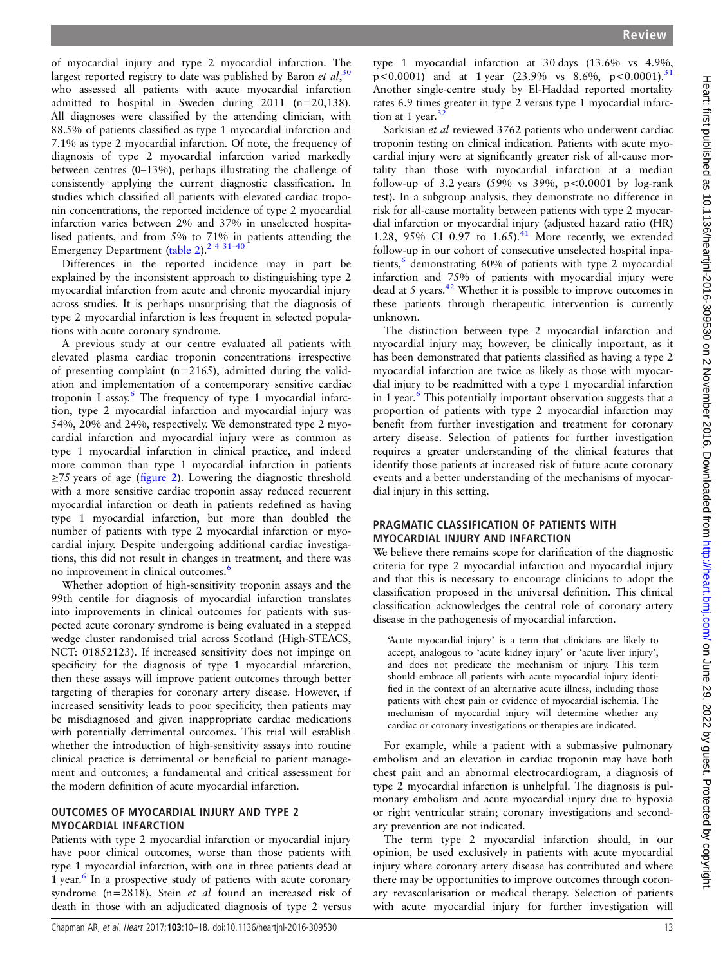of myocardial injury and type 2 myocardial infarction. The largest reported registry to date was published by Baron *et al*,<sup>[30](#page-8-0)</sup> who assessed all patients, with acute myocardial infarction who assessed all patients with acute myocardial infarction admitted to hospital in Sweden during 2011 (n=20,138). All diagnoses were classified by the attending clinician, with 88.5% of patients classified as type 1 myocardial infarction and 7.1% as type 2 myocardial infarction. Of note, the frequency of diagnosis of type 2 myocardial infarction varied markedly between centres (0–13%), perhaps illustrating the challenge of consistently applying the current diagnostic classification. In studies which classified all patients with elevated cardiac troponin concentrations, the reported incidence of type 2 myocardial infarction varies between 2% and 37% in unselected hospitalised patients, and from 5% to 71% in patients attending the Emergency Department ([table 2\)](#page-4-0).<sup>2</sup> <sup>4 [31](#page-8-0)–40</sup>

Differences in the reported incidence may in part be explained by the inconsistent approach to distinguishing type 2 myocardial infarction from acute and chronic myocardial injury across studies. It is perhaps unsurprising that the diagnosis of type 2 myocardial infarction is less frequent in selected populations with acute coronary syndrome.

A previous study at our centre evaluated all patients with elevated plasma cardiac troponin concentrations irrespective of presenting complaint (n=2165), admitted during the validation and implementation of a contemporary sensitive cardiac troponin I assay.[6](#page-7-0) The frequency of type 1 myocardial infarction, type 2 myocardial infarction and myocardial injury was 54%, 20% and 24%, respectively. We demonstrated type 2 myocardial infarction and myocardial injury were as common as type 1 myocardial infarction in clinical practice, and indeed more common than type 1 myocardial infarction in patients  $\geq$ 75 years of age (fi[gure 2\)](#page-5-0). Lowering the diagnostic threshold with a more sensitive cardiac troponin assay reduced recurrent myocardial infarction or death in patients redefined as having type 1 myocardial infarction, but more than doubled the number of patients with type 2 myocardial infarction or myocardial injury. Despite undergoing additional cardiac investigations, this did not result in changes in treatment, and there was no improvement in clinical outcomes.<sup>[6](#page-7-0)</sup>

Whether adoption of high-sensitivity troponin assays and the 99th centile for diagnosis of myocardial infarction translates into improvements in clinical outcomes for patients with suspected acute coronary syndrome is being evaluated in a stepped wedge cluster randomised trial across Scotland (High-STEACS, NCT: 01852123). If increased sensitivity does not impinge on specificity for the diagnosis of type 1 myocardial infarction, then these assays will improve patient outcomes through better targeting of therapies for coronary artery disease. However, if increased sensitivity leads to poor specificity, then patients may be misdiagnosed and given inappropriate cardiac medications with potentially detrimental outcomes. This trial will establish whether the introduction of high-sensitivity assays into routine clinical practice is detrimental or beneficial to patient management and outcomes; a fundamental and critical assessment for the modern definition of acute myocardial infarction.

### OUTCOMES OF MYOCARDIAL INJURY AND TYPE 2 MYOCARDIAL INFARCTION

Patients with type 2 myocardial infarction or myocardial injury have poor clinical outcomes, worse than those patients with type 1 myocardial infarction, with one in three patients dead at  $1$  year.<sup>[6](#page-7-0)</sup> In a prospective study of patients with acute coronary syndrome (n=2818), Stein et al found an increased risk of death in those with an adjudicated diagnosis of type 2 versus

type 1 myocardial infarction at 30 days (13.6% vs 4.9%, p<0.0001) and at 1 year  $(23.9\% \text{ vs } 8.6\%, \text{ p} < 0.0001).$ <sup>3</sup> Another single-centre study by El-Haddad reported mortality rates 6.9 times greater in type 2 versus type 1 myocardial infarction at 1 year. $\overline{3}$ 

Sarkisian et al reviewed 3762 patients who underwent cardiac troponin testing on clinical indication. Patients with acute myocardial injury were at significantly greater risk of all-cause mortality than those with myocardial infarction at a median follow-up of 3.2 years  $(59\% \text{ vs } 39\% \text{, } p < 0.0001 \text{ by log-rank})$ test). In a subgroup analysis, they demonstrate no difference in risk for all-cause mortality between patients with type 2 myocardial infarction or myocardial injury (adjusted hazard ratio (HR) 1.28, 95% CI 0.97 to 1.65). $^{41}$  $^{41}$  $^{41}$  More recently, we extended follow-up in our cohort of consecutive unselected hospital inpatients, $\frac{6}{3}$  $\frac{6}{3}$  $\frac{6}{3}$  demonstrating 60% of patients with type 2 myocardial infarction and 75% of patients with myocardial injury were dead at 5 years. $42$  Whether it is possible to improve outcomes in these patients through therapeutic intervention is currently unknown.

The distinction between type 2 myocardial infarction and myocardial injury may, however, be clinically important, as it has been demonstrated that patients classified as having a type 2 myocardial infarction are twice as likely as those with myocardial injury to be readmitted with a type 1 myocardial infarction in 1 year.<sup>[6](#page-7-0)</sup> This potentially important observation suggests that a proportion of patients with type 2 myocardial infarction may benefit from further investigation and treatment for coronary artery disease. Selection of patients for further investigation requires a greater understanding of the clinical features that identify those patients at increased risk of future acute coronary events and a better understanding of the mechanisms of myocardial injury in this setting.

### PRAGMATIC CLASSIFICATION OF PATIENTS WITH MYOCARDIAL INJURY AND INFARCTION

We believe there remains scope for clarification of the diagnostic criteria for type 2 myocardial infarction and myocardial injury and that this is necessary to encourage clinicians to adopt the classification proposed in the universal definition. This clinical classification acknowledges the central role of coronary artery disease in the pathogenesis of myocardial infarction.

'Acute myocardial injury' is a term that clinicians are likely to accept, analogous to 'acute kidney injury' or 'acute liver injury', and does not predicate the mechanism of injury. This term should embrace all patients with acute myocardial injury identified in the context of an alternative acute illness, including those patients with chest pain or evidence of myocardial ischemia. The mechanism of myocardial injury will determine whether any cardiac or coronary investigations or therapies are indicated.

For example, while a patient with a submassive pulmonary embolism and an elevation in cardiac troponin may have both chest pain and an abnormal electrocardiogram, a diagnosis of type 2 myocardial infarction is unhelpful. The diagnosis is pulmonary embolism and acute myocardial injury due to hypoxia or right ventricular strain; coronary investigations and secondary prevention are not indicated.

The term type 2 myocardial infarction should, in our opinion, be used exclusively in patients with acute myocardial injury where coronary artery disease has contributed and where there may be opportunities to improve outcomes through coronary revascularisation or medical therapy. Selection of patients with acute myocardial injury for further investigation will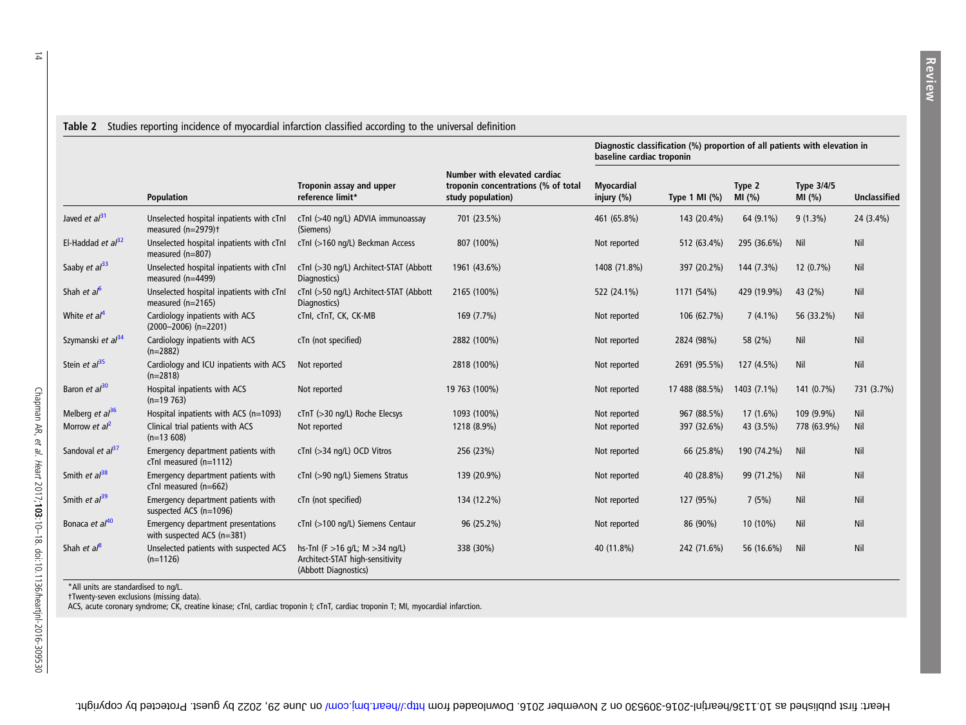|                               |                                                                  |                                                                                              |                                                                                          | Diagnostic classification (%) proportion of all patients with elevation in<br>baseline cardiac troponin |                 |                 |                     |              |
|-------------------------------|------------------------------------------------------------------|----------------------------------------------------------------------------------------------|------------------------------------------------------------------------------------------|---------------------------------------------------------------------------------------------------------|-----------------|-----------------|---------------------|--------------|
|                               | Population                                                       | Troponin assay and upper<br>reference limit*                                                 | Number with elevated cardiac<br>troponin concentrations (% of total<br>study population) | <b>Myocardial</b><br>injury $(\%)$                                                                      | Type 1 MI $(%)$ | Type 2<br>MI(%) | Type 3/4/5<br>MI(%) | Unclassified |
| Javed et $al31$               | Unselected hospital inpatients with cTnl<br>measured (n=2979)t   | cTnl (>40 ng/L) ADVIA immunoassay<br>(Siemens)                                               | 701 (23.5%)                                                                              | 461 (65.8%)                                                                                             | 143 (20.4%)     | 64 (9.1%)       | $9(1.3\%)$          | 24 (3.4%)    |
| El-Haddad et $al^{32}$        | Unselected hospital inpatients with cTnI<br>measured $(n=807)$   | cTnl (>160 ng/L) Beckman Access                                                              | 807 (100%)                                                                               | Not reported                                                                                            | 512 (63.4%)     | 295 (36.6%)     | Nil                 | Nil          |
| Saaby et al <sup>33</sup>     | Unselected hospital inpatients with cTnI<br>measured $(n=4499)$  | cTnl (>30 ng/L) Architect-STAT (Abbott<br>Diagnostics)                                       | 1961 (43.6%)                                                                             | 1408 (71.8%)                                                                                            | 397 (20.2%)     | 144 (7.3%)      | $12(0.7\%)$         | Nil          |
| Shah et al <sup>o</sup>       | Unselected hospital inpatients with cTnI<br>measured $(n=2165)$  | cTnI (>50 ng/L) Architect-STAT (Abbott<br>Diagnostics)                                       | 2165 (100%)                                                                              | 522 (24.1%)                                                                                             | 1171 (54%)      | 429 (19.9%)     | 43 (2%)             | Nil          |
| White et al <sup>4</sup>      | Cardiology inpatients with ACS<br>$(2000-2006)$ (n=2201)         | cTnl, cTnT, CK, CK-MB                                                                        | 169 (7.7%)                                                                               | Not reported                                                                                            | 106 (62.7%)     | $7(4.1\%)$      | 56 (33.2%)          | Nil          |
| Szymanski et al <sup>34</sup> | Cardiology inpatients with ACS<br>$(n=2882)$                     | cTn (not specified)                                                                          | 2882 (100%)                                                                              | Not reported                                                                                            | 2824 (98%)      | 58 (2%)         | Nil                 | Nil          |
| Stein et al <sup>35</sup>     | Cardiology and ICU inpatients with ACS<br>$(n=2818)$             | Not reported                                                                                 | 2818 (100%)                                                                              | Not reported                                                                                            | 2691 (95.5%)    | 127 (4.5%)      | Nil                 | Nil          |
| Baron et al <sup>30</sup>     | Hospital inpatients with ACS<br>$(n=19763)$                      | Not reported                                                                                 | 19 763 (100%)                                                                            | Not reported                                                                                            | 17 488 (88.5%)  | 1403 (7.1%)     | 141 (0.7%)          | 731 (3.7%)   |
| Melberg <i>et</i> $a^{36}$    | Hospital inpatients with ACS (n=1093)                            | cTnT (>30 ng/L) Roche Elecsys                                                                | 1093 (100%)                                                                              | Not reported                                                                                            | 967 (88.5%)     | 17 (1.6%)       | 109 (9.9%)          | Nil          |
| Morrow et $al^2$              | Clinical trial patients with ACS<br>$(n=13 608)$                 | Not reported                                                                                 | 1218 (8.9%)                                                                              | Not reported                                                                                            | 397 (32.6%)     | 43 (3.5%)       | 778 (63.9%)         | Nil          |
| Sandoval et al <sup>37</sup>  | Emergency department patients with<br>cTnl measured (n=1112)     | cTnl (>34 ng/L) OCD Vitros                                                                   | 256 (23%)                                                                                | Not reported                                                                                            | 66 (25.8%)      | 190 (74.2%)     | Nil                 | Nil          |
| Smith et al <sup>38</sup>     | Emergency department patients with<br>cTnI measured (n=662)      | cTnl (>90 ng/L) Siemens Stratus                                                              | 139 (20.9%)                                                                              | Not reported                                                                                            | 40 (28.8%)      | 99 (71.2%)      | Nil                 | Nil          |
| Smith et $al^{39}$            | Emergency department patients with<br>suspected ACS (n=1096)     | cTn (not specified)                                                                          | 134 (12.2%)                                                                              | Not reported                                                                                            | 127 (95%)       | 7(5%)           | Nil                 | Nil          |
| Bonaca et al <sup>40</sup>    | Emergency department presentations<br>with suspected ACS (n=381) | cTnl (>100 ng/L) Siemens Centaur                                                             | 96 (25.2%)                                                                               | Not reported                                                                                            | 86 (90%)        | 10 (10%)        | Nil                 | Nil          |
| Shah et al <sup>8</sup>       | Unselected patients with suspected ACS<br>$(n=1126)$             | hs-Tnl (F >16 g/L; $M > 34$ ng/L)<br>Architect-STAT high-sensitivity<br>(Abbott Diagnostics) | 338 (30%)                                                                                | 40 (11.8%)                                                                                              | 242 (71.6%)     | 56 (16.6%)      | Nil                 | Nil          |

#### <span id="page-4-0"></span>Table 2 Studies reporting incidence of myocardial infarction classified according to the universal definition

\*All units are standardised to ng/L.

†Twenty-seven exclusions (missing data). ACS, acute coronary syndrome; CK, creatine kinase; cTnI, cardiac troponin I; cTnT, cardiac troponin T; MI, myocardial infarction.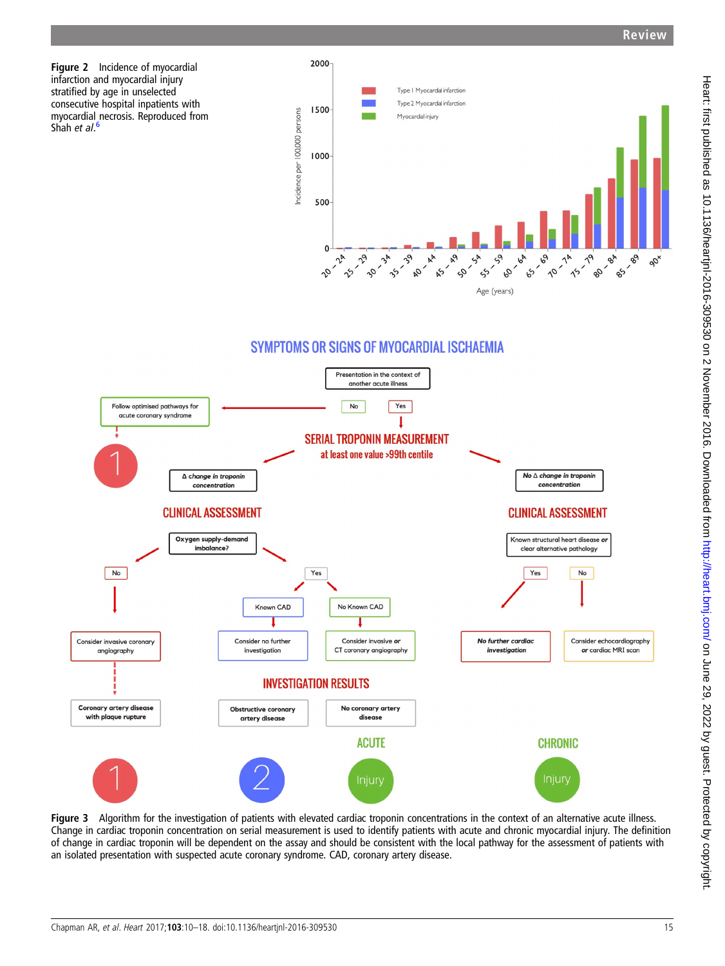<span id="page-5-0"></span>Figure 2 Incidence of myocardial infarction and myocardial injury stratified by age in unselected consecutive hospital inpatients with myocardial necrosis. Reproduced from Shah et al.<sup>[6](#page-7-0)</sup>



Figure 3 Algorithm for the investigation of patients with elevated cardiac troponin concentrations in the context of an alternative acute illness. Change in cardiac troponin concentration on serial measurement is used to identify patients with acute and chronic myocardial injury. The definition of change in cardiac troponin will be dependent on the assay and should be consistent with the local pathway for the assessment of patients with an isolated presentation with suspected acute coronary syndrome. CAD, coronary artery disease.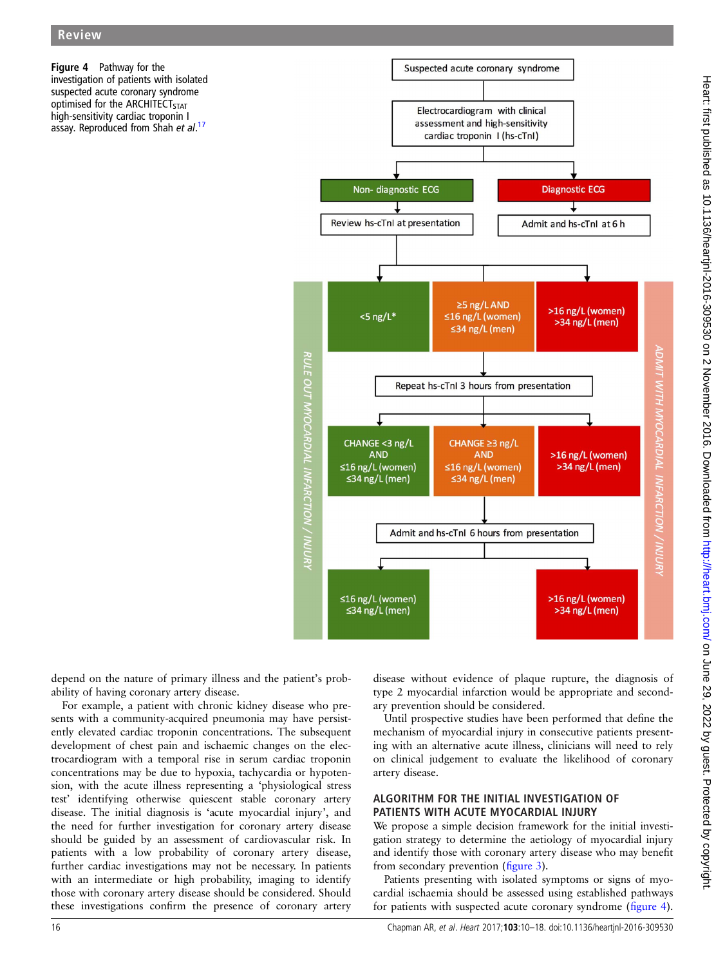Figure 4 Pathway for the investigation of patients with isolated suspected acute coronary syndrome optimised for the ARCHITECT $_{STAT}$ high-sensitivity cardiac troponin I assay. Reproduced from Shah et al.<sup>[17](#page-7-0)</sup>



depend on the nature of primary illness and the patient's probability of having coronary artery disease.

For example, a patient with chronic kidney disease who presents with a community-acquired pneumonia may have persistently elevated cardiac troponin concentrations. The subsequent development of chest pain and ischaemic changes on the electrocardiogram with a temporal rise in serum cardiac troponin concentrations may be due to hypoxia, tachycardia or hypotension, with the acute illness representing a 'physiological stress test' identifying otherwise quiescent stable coronary artery disease. The initial diagnosis is 'acute myocardial injury', and the need for further investigation for coronary artery disease should be guided by an assessment of cardiovascular risk. In patients with a low probability of coronary artery disease, further cardiac investigations may not be necessary. In patients with an intermediate or high probability, imaging to identify those with coronary artery disease should be considered. Should these investigations confirm the presence of coronary artery

disease without evidence of plaque rupture, the diagnosis of type 2 myocardial infarction would be appropriate and secondary prevention should be considered.

Until prospective studies have been performed that define the mechanism of myocardial injury in consecutive patients presenting with an alternative acute illness, clinicians will need to rely on clinical judgement to evaluate the likelihood of coronary artery disease.

### ALGORITHM FOR THE INITIAL INVESTIGATION OF PATIENTS WITH ACUTE MYOCARDIAL INJURY

We propose a simple decision framework for the initial investigation strategy to determine the aetiology of myocardial injury and identify those with coronary artery disease who may benefit from secondary prevention (fi[gure 3](#page-5-0)).

Patients presenting with isolated symptoms or signs of myocardial ischaemia should be assessed using established pathways for patients with suspected acute coronary syndrome (figure 4).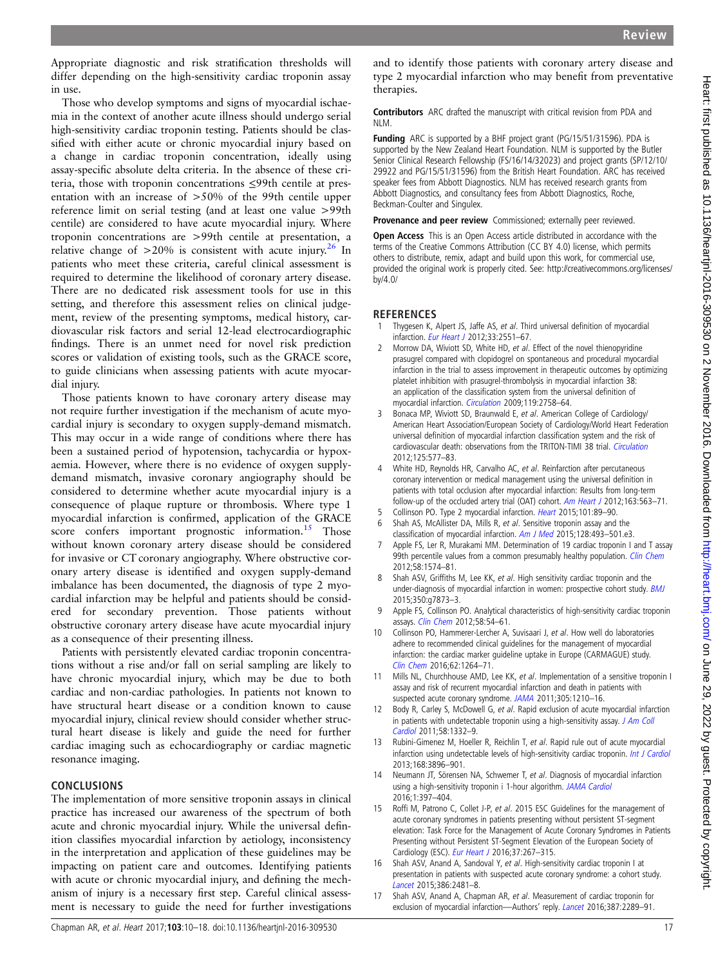<span id="page-7-0"></span>Appropriate diagnostic and risk stratification thresholds will differ depending on the high-sensitivity cardiac troponin assay in use.

Those who develop symptoms and signs of myocardial ischaemia in the context of another acute illness should undergo serial high-sensitivity cardiac troponin testing. Patients should be classified with either acute or chronic myocardial injury based on a change in cardiac troponin concentration, ideally using assay-specific absolute delta criteria. In the absence of these criteria, those with troponin concentrations ≤99th centile at presentation with an increase of >50% of the 99th centile upper reference limit on serial testing (and at least one value >99th centile) are considered to have acute myocardial injury. Where troponin concentrations are >99th centile at presentation, a relative change of  $>20\%$  is consistent with acute injury.<sup>[26](#page-8-0)</sup> In patients who meet these criteria, careful clinical assessment is required to determine the likelihood of coronary artery disease. There are no dedicated risk assessment tools for use in this setting, and therefore this assessment relies on clinical judgement, review of the presenting symptoms, medical history, cardiovascular risk factors and serial 12-lead electrocardiographic findings. There is an unmet need for novel risk prediction scores or validation of existing tools, such as the GRACE score, to guide clinicians when assessing patients with acute myocardial injury.

Those patients known to have coronary artery disease may not require further investigation if the mechanism of acute myocardial injury is secondary to oxygen supply-demand mismatch. This may occur in a wide range of conditions where there has been a sustained period of hypotension, tachycardia or hypoxaemia. However, where there is no evidence of oxygen supplydemand mismatch, invasive coronary angiography should be considered to determine whether acute myocardial injury is a consequence of plaque rupture or thrombosis. Where type 1 myocardial infarction is confirmed, application of the GRACE score confers important prognostic information.<sup>15</sup> Those without known coronary artery disease should be considered for invasive or CT coronary angiography. Where obstructive coronary artery disease is identified and oxygen supply-demand imbalance has been documented, the diagnosis of type 2 myocardial infarction may be helpful and patients should be considered for secondary prevention. Those patients without obstructive coronary artery disease have acute myocardial injury as a consequence of their presenting illness.

Patients with persistently elevated cardiac troponin concentrations without a rise and/or fall on serial sampling are likely to have chronic myocardial injury, which may be due to both cardiac and non-cardiac pathologies. In patients not known to have structural heart disease or a condition known to cause myocardial injury, clinical review should consider whether structural heart disease is likely and guide the need for further cardiac imaging such as echocardiography or cardiac magnetic resonance imaging.

### CONCLUSIONS

The implementation of more sensitive troponin assays in clinical practice has increased our awareness of the spectrum of both acute and chronic myocardial injury. While the universal definition classifies myocardial infarction by aetiology, inconsistency in the interpretation and application of these guidelines may be impacting on patient care and outcomes. Identifying patients with acute or chronic myocardial injury, and defining the mechanism of injury is a necessary first step. Careful clinical assessment is necessary to guide the need for further investigations and to identify those patients with coronary artery disease and type 2 myocardial infarction who may benefit from preventative therapies.

Contributors ARC drafted the manuscript with critical revision from PDA and NLM.

Funding ARC is supported by a BHF project grant (PG/15/51/31596). PDA is supported by the New Zealand Heart Foundation. NLM is supported by the Butler Senior Clinical Research Fellowship (FS/16/14/32023) and project grants (SP/12/10/ 29922 and PG/15/51/31596) from the British Heart Foundation. ARC has received speaker fees from Abbott Diagnostics. NLM has received research grants from Abbott Diagnostics, and consultancy fees from Abbott Diagnostics, Roche, Beckman-Coulter and Singulex.

Provenance and peer review Commissioned; externally peer reviewed.

Open Access This is an Open Access article distributed in accordance with the terms of the Creative Commons Attribution (CC BY 4.0) license, which permits others to distribute, remix, adapt and build upon this work, for commercial use, provided the original work is properly cited. See: [http://creativecommons.org/licenses/](http://creativecommons.org/licenses/by/4.0/) [by/4.0/](http://creativecommons.org/licenses/by/4.0/)

#### **REFERENCES**

- 1 Thygesen K, Alpert JS, Jaffe AS, et al. Third universal definition of myocardial infarction. [Eur Heart J](http://dx.doi.org/10.1093/eurheartj/ehs184) 2012;33:2551–67.
- 2 Morrow DA, Wiviott SD, White HD, et al. Effect of the novel thienopyridine prasugrel compared with clopidogrel on spontaneous and procedural myocardial infarction in the trial to assess improvement in therapeutic outcomes by optimizing platelet inhibition with prasugrel-thrombolysis in myocardial infarction 38: an application of the classification system from the universal definition of myocardial infarction. *[Circulation](http://dx.doi.org/10.1161/CIRCULATIONAHA.108.833665)* 2009;119:2758-64.
- 3 Bonaca MP, Wiviott SD, Braunwald E, et al. American College of Cardiology/ American Heart Association/European Society of Cardiology/World Heart Federation universal definition of myocardial infarction classification system and the risk of cardiovascular death: observations from the TRITON-TIMI 38 trial. [Circulation](http://dx.doi.org/10.1161/CIRCULATIONAHA.111.041160) 2012;125:577–83.
- 4 White HD, Reynolds HR, Carvalho AC, et al. Reinfarction after percutaneous coronary intervention or medical management using the universal definition in patients with total occlusion after myocardial infarction: Results from long-term follow-up of the occluded artery trial (OAT) cohort. [Am Heart J](http://dx.doi.org/10.1016/j.ahj.2012.01.016) 2012;163:563-71.
- 5 Collinson PO. Type 2 myocardial infarction. [Heart](http://dx.doi.org/10.1136/heartjnl-2014-306865) 2015;101:89–90.
- 6 Shah AS, McAllister DA, Mills R, et al. Sensitive troponin assay and the classification of myocardial infarction. [Am J Med](http://dx.doi.org/10.1016/j.amjmed.2014.10.056) 2015;128:493-501.e3.
- 7 Apple FS, Ler R, Murakami MM. Determination of 19 cardiac troponin I and T assay 99th percentile values from a common presumably healthy population. [Clin Chem](http://dx.doi.org/10.1373/clinchem.2012.192716) 2012;58:1574–81.
- 8 Shah ASV, Griffiths M, Lee KK, et al. High sensitivity cardiac troponin and the under-diagnosis of myocardial infarction in women: prospective cohort study. [BMJ](http://dx.doi.org/10.1136/bmj.g7873) 2015;350:g7873–3.
- Apple FS, Collinson PO. Analytical characteristics of high-sensitivity cardiac troponin assays. [Clin Chem](http://dx.doi.org/10.1373/clinchem.2011.165795) 2012;58:54–61.
- 10 Collinson PO, Hammerer-Lercher A, Suvisaari J, et al. How well do laboratories adhere to recommended clinical guidelines for the management of myocardial infarction: the cardiac marker guideline uptake in Europe (CARMAGUE) study. [Clin Chem](http://dx.doi.org/10.1373/clinchem.2016.259515) 2016;62:1264–71.
- 11 Mills NL, Churchhouse AMD, Lee KK, et al. Implementation of a sensitive troponin I assay and risk of recurrent myocardial infarction and death in patients with suspected acute coronary syndrome. [JAMA](http://dx.doi.org/10.1001/jama.2011.338) 2011;305:1210-16.
- 12 Body R, Carley S, McDowell G, et al. Rapid exclusion of acute myocardial infarction in patients with undetectable troponin using a high-sensitivity assay. [J Am Coll](http://dx.doi.org/10.1016/j.jacc.2011.06.026) [Cardiol](http://dx.doi.org/10.1016/j.jacc.2011.06.026) 2011;58:1332–9.
- 13 Rubini-Gimenez M, Hoeller R, Reichlin T, et al. Rapid rule out of acute myocardial infarction using undetectable levels of high-sensitivity cardiac troponin. [Int J Cardiol](http://dx.doi.org/10.1016/j.ijcard.2013.06.049) 2013;168:3896–901.
- 14 Neumann JT, Sörensen NA, Schwemer T, et al. Diagnosis of myocardial infarction using a high-sensitivity troponin i 1-hour algorithm. [JAMA Cardiol](http://dx.doi.org/10.1001/jamacardio.2016.0695) 2016;1:397–404.
- 15 Roffi M, Patrono C, Collet J-P, et al. 2015 ESC Guidelines for the management of acute coronary syndromes in patients presenting without persistent ST-segment elevation: Task Force for the Management of Acute Coronary Syndromes in Patients Presenting without Persistent ST-Segment Elevation of the European Society of Cardiology (ESC). [Eur Heart J](http://dx.doi.org/10.1093/eurheartj/ehv320) 2016;37:267-315.
- 16 Shah ASV, Anand A, Sandoval Y, et al. High-sensitivity cardiac troponin I at presentation in patients with suspected acute coronary syndrome: a cohort study. [Lancet](http://dx.doi.org/10.1016/S0140-6736(15)00391-8) 2015;386:2481–8.
- 17 Shah ASV, Anand A, Chapman AR, et al. Measurement of cardiac troponin for exclusion of myocardial infarction—Authors' reply. [Lancet](http://dx.doi.org/10.1016/S0140-6736(16)30517-7) 2016;387:2289-91.